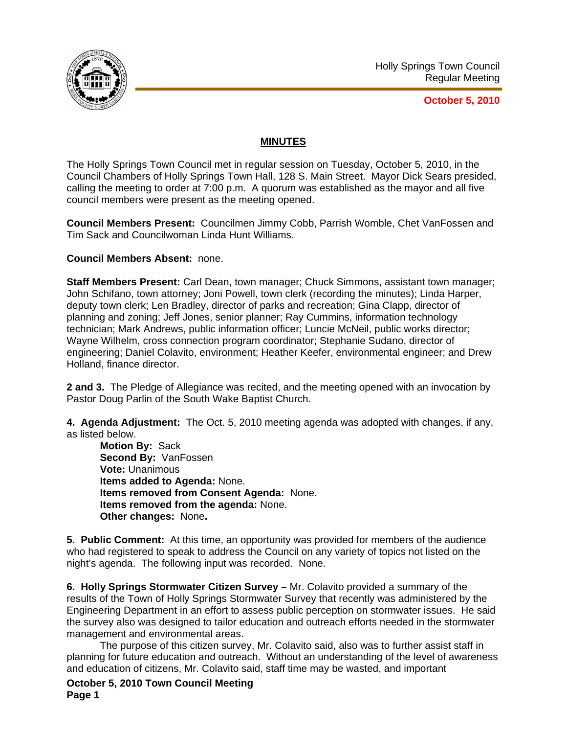

**October 5, 2010**

# **MINUTES**

The Holly Springs Town Council met in regular session on Tuesday, October 5, 2010, in the Council Chambers of Holly Springs Town Hall, 128 S. Main Street. Mayor Dick Sears presided, calling the meeting to order at 7:00 p.m. A quorum was established as the mayor and all five council members were present as the meeting opened.

**Council Members Present:** Councilmen Jimmy Cobb, Parrish Womble, Chet VanFossen and Tim Sack and Councilwoman Linda Hunt Williams.

**Council Members Absent:** none.

**Staff Members Present:** Carl Dean, town manager; Chuck Simmons, assistant town manager; John Schifano, town attorney; Joni Powell, town clerk (recording the minutes); Linda Harper, deputy town clerk; Len Bradley, director of parks and recreation; Gina Clapp, director of planning and zoning; Jeff Jones, senior planner; Ray Cummins, information technology technician; Mark Andrews, public information officer; Luncie McNeil, public works director; Wayne Wilhelm, cross connection program coordinator; Stephanie Sudano, director of engineering; Daniel Colavito, environment; Heather Keefer, environmental engineer; and Drew Holland, finance director.

**2 and 3.** The Pledge of Allegiance was recited, and the meeting opened with an invocation by Pastor Doug Parlin of the South Wake Baptist Church.

**4. Agenda Adjustment:** The Oct. 5, 2010 meeting agenda was adopted with changes, if any, as listed below.

**Motion By:** Sack **Second By:** VanFossen **Vote:** Unanimous **Items added to Agenda:** None. **Items removed from Consent Agenda:** None. **Items removed from the agenda:** None. **Other changes:** None**.** 

**5. Public Comment:** At this time, an opportunity was provided for members of the audience who had registered to speak to address the Council on any variety of topics not listed on the night's agenda. The following input was recorded. None.

**6. Holly Springs Stormwater Citizen Survey –** Mr. Colavito provided a summary of the results of the Town of Holly Springs Stormwater Survey that recently was administered by the Engineering Department in an effort to assess public perception on stormwater issues. He said the survey also was designed to tailor education and outreach efforts needed in the stormwater management and environmental areas.

The purpose of this citizen survey, Mr. Colavito said, also was to further assist staff in planning for future education and outreach. Without an understanding of the level of awareness and education of citizens, Mr. Colavito said, staff time may be wasted, and important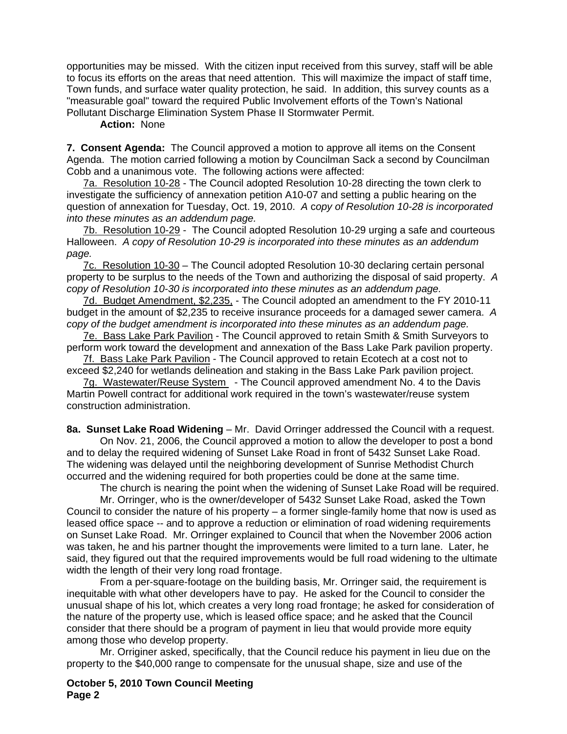opportunities may be missed. With the citizen input received from this survey, staff will be able to focus its efforts on the areas that need attention. This will maximize the impact of staff time, Town funds, and surface water quality protection, he said. In addition, this survey counts as a "measurable goal" toward the required Public Involvement efforts of the Town's National Pollutant Discharge Elimination System Phase II Stormwater Permit.

#### **Action:** None

**7. Consent Agenda:** The Council approved a motion to approve all items on the Consent Agenda. The motion carried following a motion by Councilman Sack a second by Councilman Cobb and a unanimous vote. The following actions were affected:

7a. Resolution 10-28 - The Council adopted Resolution 10-28 directing the town clerk to investigate the sufficiency of annexation petition A10-07 and setting a public hearing on the question of annexation for Tuesday, Oct. 19, 2010. *A* c*opy of Resolution 10-28 is incorporated into these minutes as an addendum page.*

7b. Resolution 10-29 - The Council adopted Resolution 10-29 urging a safe and courteous Halloween. *A copy of Resolution 10-29 is incorporated into these minutes as an addendum page.* 

7c. Resolution 10-30 – The Council adopted Resolution 10-30 declaring certain personal property to be surplus to the needs of the Town and authorizing the disposal of said property.*A copy of Resolution 10-30 is incorporated into these minutes as an addendum page.*

7d. Budget Amendment, \$2,235, - The Council adopted an amendment to the FY 2010-11 budget in the amount of \$2,235 to receive insurance proceeds for a damaged sewer camera. *A copy of the budget amendment is incorporated into these minutes as an addendum page.*

7e. Bass Lake Park Pavilion - The Council approved to retain Smith & Smith Surveyors to perform work toward the development and annexation of the Bass Lake Park pavilion property.

7f. Bass Lake Park Pavilion - The Council approved to retain Ecotech at a cost not to exceed \$2,240 for wetlands delineation and staking in the Bass Lake Park pavilion project.

7g. Wastewater/Reuse System - The Council approved amendment No. 4 to the Davis Martin Powell contract for additional work required in the town's wastewater/reuse system construction administration.

**8a. Sunset Lake Road Widening** – Mr. David Orringer addressed the Council with a request. On Nov. 21, 2006, the Council approved a motion to allow the developer to post a bond and to delay the required widening of Sunset Lake Road in front of 5432 Sunset Lake Road. The widening was delayed until the neighboring development of Sunrise Methodist Church occurred and the widening required for both properties could be done at the same time.

The church is nearing the point when the widening of Sunset Lake Road will be required.

 Mr. Orringer, who is the owner/developer of 5432 Sunset Lake Road, asked the Town Council to consider the nature of his property – a former single-family home that now is used as leased office space -- and to approve a reduction or elimination of road widening requirements on Sunset Lake Road. Mr. Orringer explained to Council that when the November 2006 action was taken, he and his partner thought the improvements were limited to a turn lane. Later, he said, they figured out that the required improvements would be full road widening to the ultimate width the length of their very long road frontage.

 From a per-square-footage on the building basis, Mr. Orringer said, the requirement is inequitable with what other developers have to pay. He asked for the Council to consider the unusual shape of his lot, which creates a very long road frontage; he asked for consideration of the nature of the property use, which is leased office space; and he asked that the Council consider that there should be a program of payment in lieu that would provide more equity among those who develop property.

 Mr. Orriginer asked, specifically, that the Council reduce his payment in lieu due on the property to the \$40,000 range to compensate for the unusual shape, size and use of the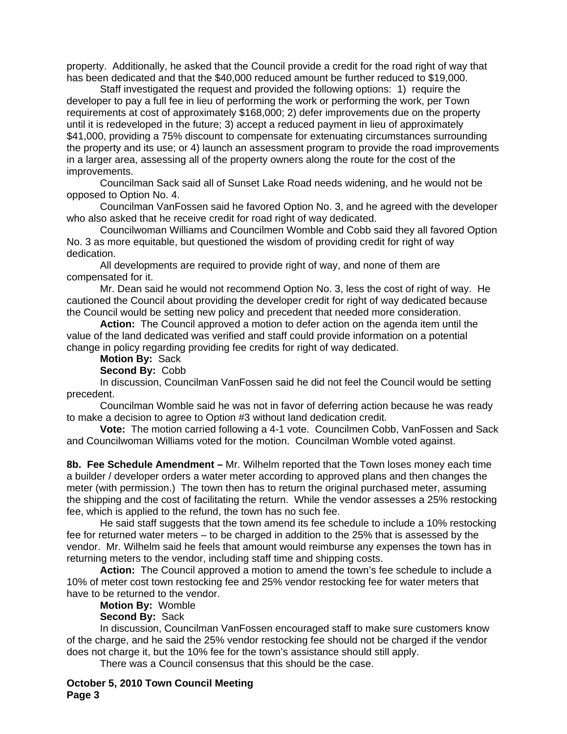property. Additionally, he asked that the Council provide a credit for the road right of way that has been dedicated and that the \$40,000 reduced amount be further reduced to \$19,000.

 Staff investigated the request and provided the following options: 1) require the developer to pay a full fee in lieu of performing the work or performing the work, per Town requirements at cost of approximately \$168,000; 2) defer improvements due on the property until it is redeveloped in the future; 3) accept a reduced payment in lieu of approximately \$41,000, providing a 75% discount to compensate for extenuating circumstances surrounding the property and its use; or 4) launch an assessment program to provide the road improvements in a larger area, assessing all of the property owners along the route for the cost of the improvements.

 Councilman Sack said all of Sunset Lake Road needs widening, and he would not be opposed to Option No. 4.

 Councilman VanFossen said he favored Option No. 3, and he agreed with the developer who also asked that he receive credit for road right of way dedicated.

 Councilwoman Williams and Councilmen Womble and Cobb said they all favored Option No. 3 as more equitable, but questioned the wisdom of providing credit for right of way dedication.

 All developments are required to provide right of way, and none of them are compensated for it.

 Mr. Dean said he would not recommend Option No. 3, less the cost of right of way. He cautioned the Council about providing the developer credit for right of way dedicated because the Council would be setting new policy and precedent that needed more consideration.

**Action:** The Council approved a motion to defer action on the agenda item until the value of the land dedicated was verified and staff could provide information on a potential change in policy regarding providing fee credits for right of way dedicated.

## **Motion By:** Sack

### **Second By:** Cobb

 In discussion, Councilman VanFossen said he did not feel the Council would be setting precedent.

 Councilman Womble said he was not in favor of deferring action because he was ready to make a decision to agree to Option #3 without land dedication credit.

**Vote:** The motion carried following a 4-1 vote. Councilmen Cobb, VanFossen and Sack and Councilwoman Williams voted for the motion. Councilman Womble voted against.

**8b. Fee Schedule Amendment –** Mr. Wilhelm reported that the Town loses money each time a builder / developer orders a water meter according to approved plans and then changes the meter (with permission.) The town then has to return the original purchased meter, assuming the shipping and the cost of facilitating the return. While the vendor assesses a 25% restocking fee, which is applied to the refund, the town has no such fee.

 He said staff suggests that the town amend its fee schedule to include a 10% restocking fee for returned water meters – to be charged in addition to the 25% that is assessed by the vendor. Mr. Wilhelm said he feels that amount would reimburse any expenses the town has in returning meters to the vendor, including staff time and shipping costs.

**Action:** The Council approved a motion to amend the town's fee schedule to include a 10% of meter cost town restocking fee and 25% vendor restocking fee for water meters that have to be returned to the vendor.

#### **Motion By:** Womble

### **Second By:** Sack

In discussion, Councilman VanFossen encouraged staff to make sure customers know of the charge, and he said the 25% vendor restocking fee should not be charged if the vendor does not charge it, but the 10% fee for the town's assistance should still apply.

There was a Council consensus that this should be the case.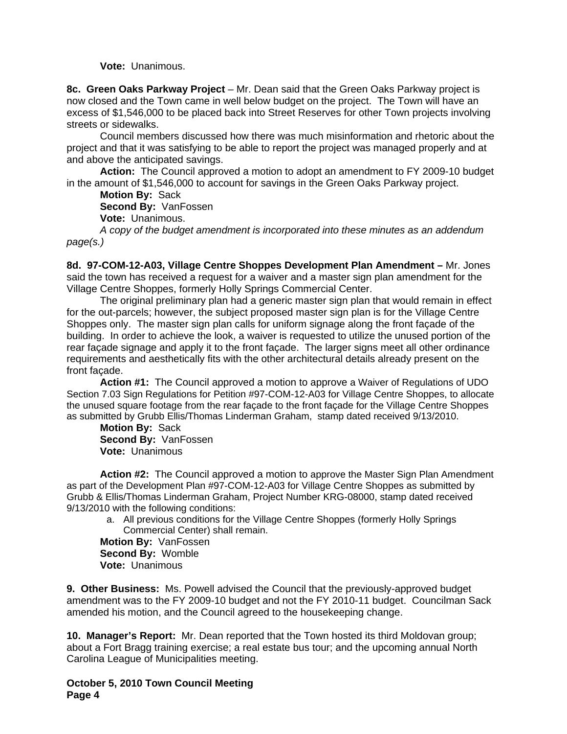**Vote:** Unanimous.

**8c. Green Oaks Parkway Project** *–* Mr. Dean said that the Green Oaks Parkway project is now closed and the Town came in well below budget on the project. The Town will have an excess of \$1,546,000 to be placed back into Street Reserves for other Town projects involving streets or sidewalks.

 Council members discussed how there was much misinformation and rhetoric about the project and that it was satisfying to be able to report the project was managed properly and at and above the anticipated savings.

**Action:** The Council approved a motion to adopt an amendment to FY 2009-10 budget in the amount of \$1,546,000 to account for savings in the Green Oaks Parkway project.

**Motion By:** Sack **Second By:** VanFossen

**Vote:** Unanimous.

*A copy of the budget amendment is incorporated into these minutes as an addendum page(s.)* 

**8d. 97-COM-12-A03, Village Centre Shoppes Development Plan Amendment –** Mr. Jones said the town has received a request for a waiver and a master sign plan amendment for the Village Centre Shoppes, formerly Holly Springs Commercial Center.

 The original preliminary plan had a generic master sign plan that would remain in effect for the out-parcels; however, the subject proposed master sign plan is for the Village Centre Shoppes only. The master sign plan calls for uniform signage along the front façade of the building. In order to achieve the look, a waiver is requested to utilize the unused portion of the rear façade signage and apply it to the front façade. The larger signs meet all other ordinance requirements and aesthetically fits with the other architectural details already present on the front façade.

**Action #1:** The Council approved a motion to approve a Waiver of Regulations of UDO Section 7.03 Sign Regulations for Petition #97-COM-12-A03 for Village Centre Shoppes, to allocate the unused square footage from the rear façade to the front façade for the Village Centre Shoppes as submitted by Grubb Ellis/Thomas Linderman Graham, stamp dated received 9/13/2010.

**Motion By:** Sack **Second By:** VanFossen **Vote:** Unanimous

**Action #2:** The Council approved a motion to approve the Master Sign Plan Amendment as part of the Development Plan #97-COM-12-A03 for Village Centre Shoppes as submitted by Grubb & Ellis/Thomas Linderman Graham, Project Number KRG-08000, stamp dated received 9/13/2010 with the following conditions:

a. All previous conditions for the Village Centre Shoppes (formerly Holly Springs Commercial Center) shall remain.

**Motion By:** VanFossen **Second By:** Womble **Vote:** Unanimous

**9. Other Business:** Ms. Powell advised the Council that the previously-approved budget amendment was to the FY 2009-10 budget and not the FY 2010-11 budget. Councilman Sack amended his motion, and the Council agreed to the housekeeping change.

**10. Manager's Report:** Mr. Dean reported that the Town hosted its third Moldovan group; about a Fort Bragg training exercise; a real estate bus tour; and the upcoming annual North Carolina League of Municipalities meeting.